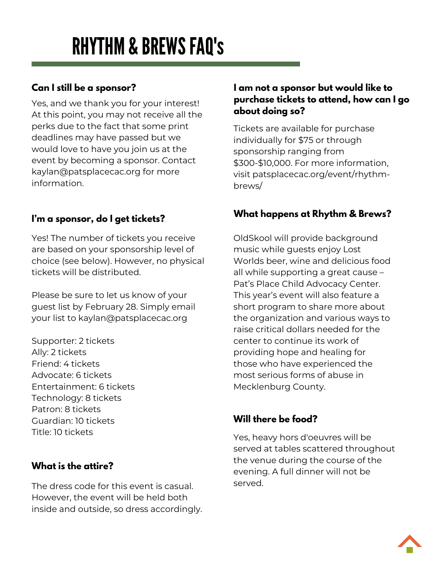# RHYTHM & BREWS FAQ'S

# **Can I still be a sponsor?**

Yes, and we thank you for your interest! At this point, you may not receive all the perks due to the fact that some print deadlines may have passed but we would love to have you join us at the event by becoming a sponsor. Contact kaylan@patsplacecac.org for more information.

## **I'm a sponsor, do I get tickets?**

Yes! The number of tickets you receive are based on your sponsorship level of choice (see below). However, no physical tickets will be distributed.

Please be sure to let us know of your guest list by February 28. Simply email your list to kaylan@patsplacecac.org

Supporter: 2 tickets Ally: 2 tickets Friend: 4 tickets Advocate: 6 tickets Entertainment: 6 tickets Technology: 8 tickets Patron: 8 tickets Guardian: 10 tickets Title: 10 tickets

# **What is the attire?**

The dress code for this event is casual. However, the event will be held both inside and outside, so dress accordingly.

#### **I am not a sponsor but would like to purchase tickets to attend, how can I go about doing so?**

Tickets are available for purchase individually for \$75 or through sponsorship ranging from \$300-\$10,000. For more information, visit patsplacecac.org/event/rhythmbrews/

## **What happens at Rhythm & Brews?**

OldSkool will provide background music while guests enjoy Lost Worlds beer, wine and delicious food all while supporting a great cause – Pat's Place Child Advocacy Center. This year's event will also feature a short program to share more about the organization and various ways to raise critical dollars needed for the center to continue its work of providing hope and healing for those who have experienced the most serious forms of abuse in Mecklenburg County.

# **Will there be food?**

Yes, heavy hors d'oeuvres will be served at tables scattered throughout the venue during the course of the evening. A full dinner will not be served.